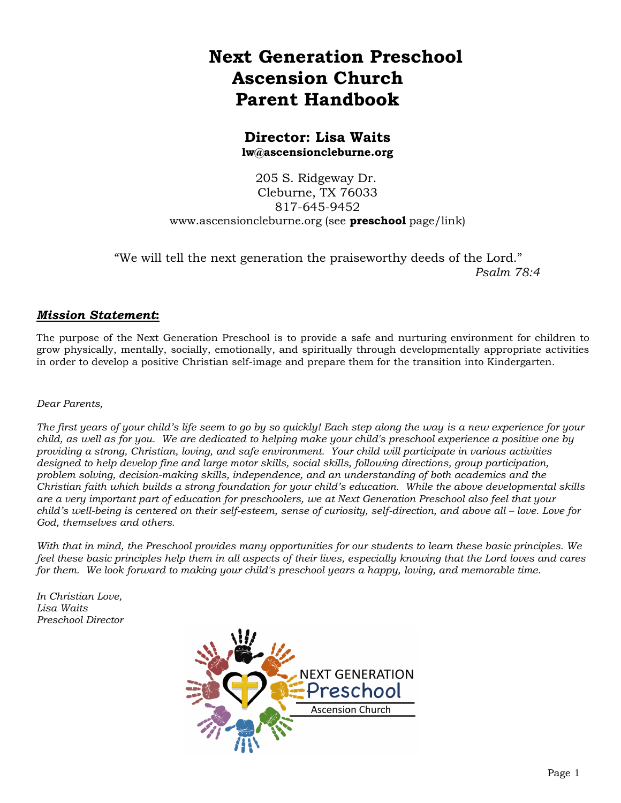# **Next Generation Preschool Ascension Church Parent Handbook**

### **Director: Lisa Waits lw@ascensioncleburne.org**

205 S. Ridgeway Dr. Cleburne, TX 76033 817-645-9452 www.ascensioncleburne.org (see **preschool** page/link)

 "We will tell the next generation the praiseworthy deeds of the Lord." *Psalm 78:4*

### *Mission Statement***:**

The purpose of the Next Generation Preschool is to provide a safe and nurturing environment for children to grow physically, mentally, socially, emotionally, and spiritually through developmentally appropriate activities in order to develop a positive Christian self-image and prepare them for the transition into Kindergarten.

#### *Dear Parents,*

*The first years of your child's life seem to go by so quickly! Each step along the way is a new experience for your child, as well as for you. We are dedicated to helping make your child's preschool experience a positive one by providing a strong, Christian, loving, and safe environment. Your child will participate in various activities designed to help develop fine and large motor skills, social skills, following directions, group participation, problem solving, decision-making skills, independence, and an understanding of both academics and the Christian faith which builds a strong foundation for your child's education. While the above developmental skills are a very important part of education for preschoolers, we at Next Generation Preschool also feel that your child's well-being is centered on their self-esteem, sense of curiosity, self-direction, and above all – love. Love for God, themselves and others.*

*With that in mind, the Preschool provides many opportunities for our students to learn these basic principles. We feel these basic principles help them in all aspects of their lives, especially knowing that the Lord loves and cares for them. We look forward to making your child's preschool years a happy, loving, and memorable time.*

*In Christian Love, Lisa Waits Preschool Director*

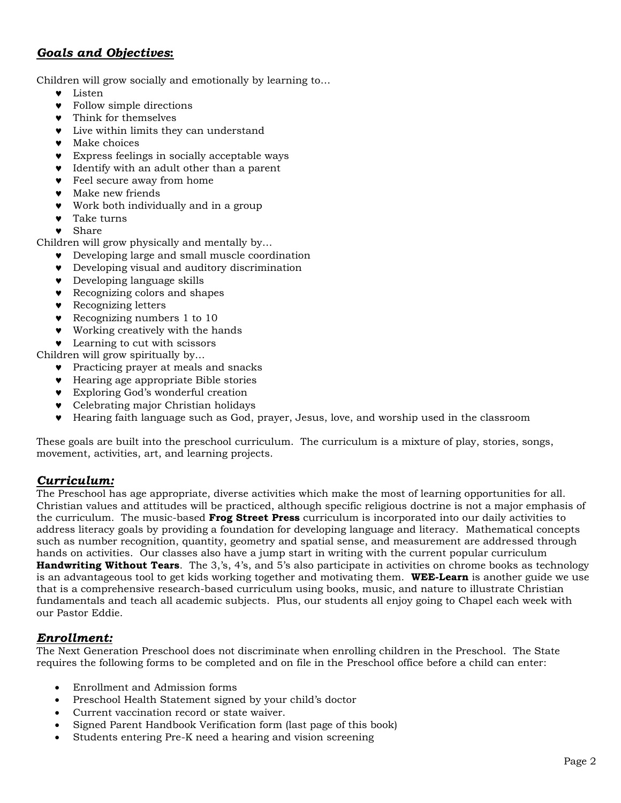# *Goals and Objectives***:**

Children will grow socially and emotionally by learning to…

- Listen
- Follow simple directions
- Think for themselves
- Live within limits they can understand
- **v** Make choices
- Express feelings in socially acceptable ways
- Identify with an adult other than a parent
- Feel secure away from home
- Make new friends
- Work both individually and in a group
- Take turns
- Share

Children will grow physically and mentally by…

- Developing large and small muscle coordination
- Developing visual and auditory discrimination
- Developing language skills
- **v** Recognizing colors and shapes
- **•** Recognizing letters
- **Recognizing numbers 1 to 10**
- Working creatively with the hands
- **EXECUTE:** Learning to cut with scissors

Children will grow spiritually by…

- **v** Practicing prayer at meals and snacks
- Hearing age appropriate Bible stories
- Exploring God's wonderful creation
- **v** Celebrating major Christian holidays
- Hearing faith language such as God, prayer, Jesus, love, and worship used in the classroom

These goals are built into the preschool curriculum. The curriculum is a mixture of play, stories, songs, movement, activities, art, and learning projects.

### *Curriculum:*

The Preschool has age appropriate, diverse activities which make the most of learning opportunities for all. Christian values and attitudes will be practiced, although specific religious doctrine is not a major emphasis of the curriculum. The music-based **Frog Street Press** curriculum is incorporated into our daily activities to address literacy goals by providing a foundation for developing language and literacy. Mathematical concepts such as number recognition, quantity, geometry and spatial sense, and measurement are addressed through hands on activities. Our classes also have a jump start in writing with the current popular curriculum **Handwriting Without Tears**. The 3,'s, 4's, and 5's also participate in activities on chrome books as technology is an advantageous tool to get kids working together and motivating them. **WEE-Learn** is another guide we use that is a comprehensive research-based curriculum using books, music, and nature to illustrate Christian fundamentals and teach all academic subjects. Plus, our students all enjoy going to Chapel each week with our Pastor Eddie.

### *Enrollment:*

The Next Generation Preschool does not discriminate when enrolling children in the Preschool. The State requires the following forms to be completed and on file in the Preschool office before a child can enter:

- Enrollment and Admission forms
- Preschool Health Statement signed by your child's doctor
- Current vaccination record or state waiver.
- Signed Parent Handbook Verification form (last page of this book)
- Students entering Pre-K need a hearing and vision screening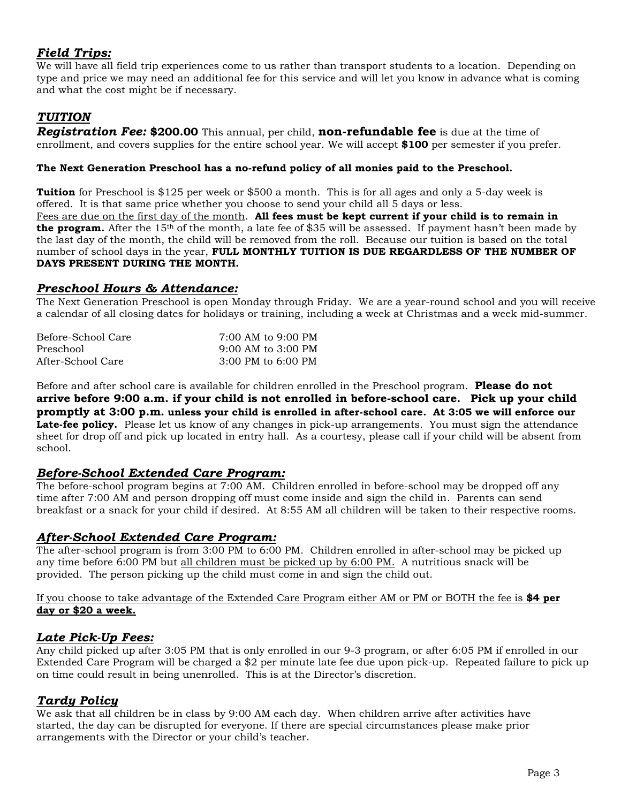### *Field Trips:*

We will have all field trip experiences come to us rather than transport students to a location. Depending on type and price we may need an additional fee for this service and will let you know in advance what is coming and what the cost might be if necessary.

# *TUITION*

*Registration Fee:* **\$200.00** This annual, per child, **non-refundable fee** is due at the time of enrollment, and covers supplies for the entire school year. We will accept **\$100** per semester if you prefer.

#### **The Next Generation Preschool has a no-refund policy of all monies paid to the Preschool.**

**Tuition** for Preschool is \$125 per week or \$500 a month. This is for all ages and only a 5-day week is offered. It is that same price whether you choose to send your child all 5 days or less.

Fees are due on the first day of the month. **All fees must be kept current if your child is to remain in the program.** After the 15<sup>th</sup> of the month, a late fee of \$35 will be assessed. If payment hasn't been made by the last day of the month, the child will be removed from the roll. Because our tuition is based on the total number of school days in the year, **FULL MONTHLY TUITION IS DUE REGARDLESS OF THE NUMBER OF DAYS PRESENT DURING THE MONTH.**

#### *Preschool Hours & Attendance:*

The Next Generation Preschool is open Monday through Friday. We are a year-round school and you will receive a calendar of all closing dates for holidays or training, including a week at Christmas and a week mid-summer.

| Before-School Care | $7:00$ AM to 9:00 PM   |
|--------------------|------------------------|
| Preschool          | $9:00$ AM to $3:00$ PM |
| After-School Care  | $3:00$ PM to $6:00$ PM |

Before and after school care is available for children enrolled in the Preschool program. **Please do not arrive before 9:00 a.m. if your child is not enrolled in before-school care. Pick up your child promptly at 3:00 p.m. unless your child is enrolled in after-school care. At 3:05 we will enforce our**  Late-fee policy. Please let us know of any changes in pick-up arrangements. You must sign the attendance sheet for drop off and pick up located in entry hall. As a courtesy, please call if your child will be absent from school.

### *Before-School Extended Care Program:*

The before-school program begins at 7:00 AM. Children enrolled in before-school may be dropped off any time after 7:00 AM and person dropping off must come inside and sign the child in. Parents can send breakfast or a snack for your child if desired. At 8:55 AM all children will be taken to their respective rooms.

#### *After-School Extended Care Program:*

The after-school program is from 3:00 PM to 6:00 PM. Children enrolled in after-school may be picked up any time before 6:00 PM but all children must be picked up by 6:00 PM. A nutritious snack will be provided. The person picking up the child must come in and sign the child out.

#### If you choose to take advantage of the Extended Care Program either AM or PM or BOTH the fee is **\$4 per day or \$20 a week.**

#### *Late Pick-Up Fees:*

Any child picked up after 3:05 PM that is only enrolled in our 9-3 program, or after 6:05 PM if enrolled in our Extended Care Program will be charged a \$2 per minute late fee due upon pick-up. Repeated failure to pick up on time could result in being unenrolled. This is at the Director's discretion.

### *Tardy Policy*

We ask that all children be in class by 9:00 AM each day. When children arrive after activities have started, the day can be disrupted for everyone. If there are special circumstances please make prior arrangements with the Director or your child's teacher.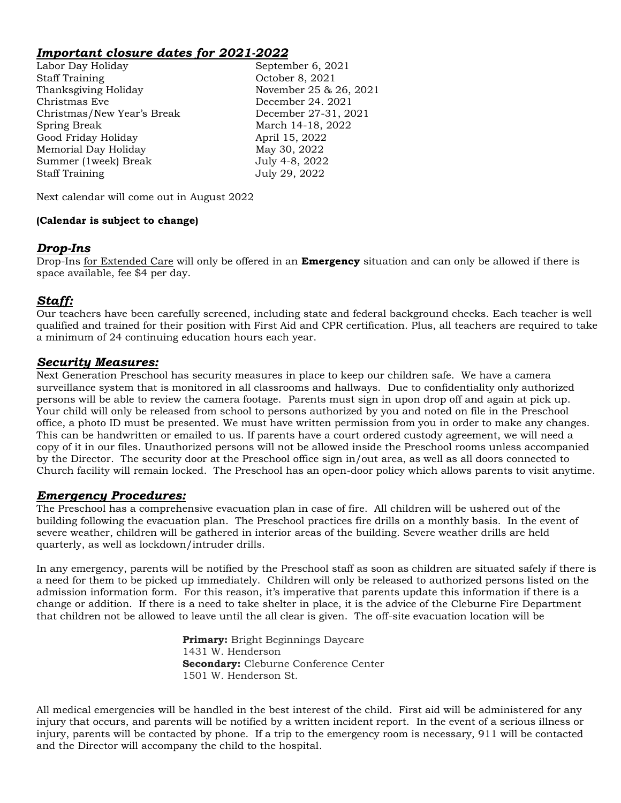### *Important closure dates for 2021-2022*

Labor Day Holiday September 6, 2021 Staff Training Corober 8, 2021 Thanksgiving Holiday November 25 & 26, 2021 Christmas Eve December 24. 2021 Christmas/New Year's Break December 27-31, 2021 Spring Break March 14-18, 2022 Good Friday Holiday April 15, 2022 Memorial Day Holiday May 30, 2022 Summer (1week) Break July 4-8, 2022 Staff Training July 29, 2022

Next calendar will come out in August 2022

#### **(Calendar is subject to change)**

#### *Drop-Ins*

Drop-Ins for Extended Care will only be offered in an **Emergency** situation and can only be allowed if there is space available, fee \$4 per day.

### *Staff:*

Our teachers have been carefully screened, including state and federal background checks. Each teacher is well qualified and trained for their position with First Aid and CPR certification. Plus, all teachers are required to take a minimum of 24 continuing education hours each year.

#### *Security Measures:*

Next Generation Preschool has security measures in place to keep our children safe. We have a camera surveillance system that is monitored in all classrooms and hallways. Due to confidentiality only authorized persons will be able to review the camera footage. Parents must sign in upon drop off and again at pick up. Your child will only be released from school to persons authorized by you and noted on file in the Preschool office, a photo ID must be presented. We must have written permission from you in order to make any changes. This can be handwritten or emailed to us. If parents have a court ordered custody agreement, we will need a copy of it in our files. Unauthorized persons will not be allowed inside the Preschool rooms unless accompanied by the Director. The security door at the Preschool office sign in/out area, as well as all doors connected to Church facility will remain locked. The Preschool has an open-door policy which allows parents to visit anytime.

#### *Emergency Procedures:*

The Preschool has a comprehensive evacuation plan in case of fire. All children will be ushered out of the building following the evacuation plan. The Preschool practices fire drills on a monthly basis. In the event of severe weather, children will be gathered in interior areas of the building. Severe weather drills are held quarterly, as well as lockdown/intruder drills.

In any emergency, parents will be notified by the Preschool staff as soon as children are situated safely if there is a need for them to be picked up immediately. Children will only be released to authorized persons listed on the admission information form. For this reason, it's imperative that parents update this information if there is a change or addition. If there is a need to take shelter in place, it is the advice of the Cleburne Fire Department that children not be allowed to leave until the all clear is given. The off-site evacuation location will be

> **Primary:** Bright Beginnings Daycare 1431 W. Henderson **Secondary:** Cleburne Conference Center 1501 W. Henderson St.

All medical emergencies will be handled in the best interest of the child. First aid will be administered for any injury that occurs, and parents will be notified by a written incident report. In the event of a serious illness or injury, parents will be contacted by phone. If a trip to the emergency room is necessary, 911 will be contacted and the Director will accompany the child to the hospital.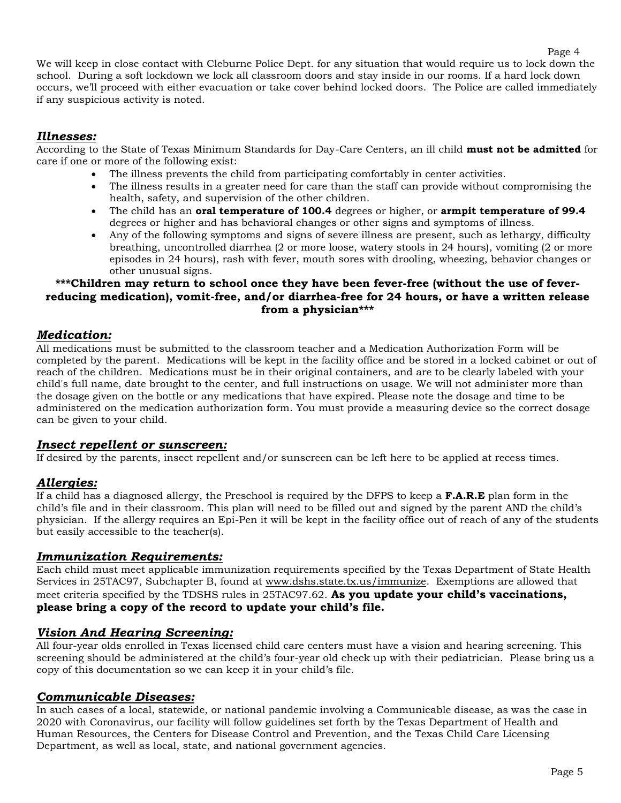We will keep in close contact with Cleburne Police Dept. for any situation that would require us to lock down the school. During a soft lockdown we lock all classroom doors and stay inside in our rooms. If a hard lock down occurs, we'll proceed with either evacuation or take cover behind locked doors. The Police are called immediately if any suspicious activity is noted.

#### *Illnesses:*

According to the State of Texas Minimum Standards for Day-Care Centers, an ill child **must not be admitted** for care if one or more of the following exist:

- The illness prevents the child from participating comfortably in center activities.
- The illness results in a greater need for care than the staff can provide without compromising the health, safety, and supervision of the other children.
- The child has an **oral temperature of 100.4** degrees or higher, or **armpit temperature of 99.4** degrees or higher and has behavioral changes or other signs and symptoms of illness.
- Any of the following symptoms and signs of severe illness are present, such as lethargy, difficulty breathing, uncontrolled diarrhea (2 or more loose, watery stools in 24 hours), vomiting (2 or more episodes in 24 hours), rash with fever, mouth sores with drooling, wheezing, behavior changes or other unusual signs.

#### **\*\*\*Children may return to school once they have been fever-free (without the use of feverreducing medication), vomit-free, and/or diarrhea-free for 24 hours, or have a written release from a physician\*\*\***

#### *Medication:*

All medications must be submitted to the classroom teacher and a Medication Authorization Form will be completed by the parent. Medications will be kept in the facility office and be stored in a locked cabinet or out of reach of the children. Medications must be in their original containers, and are to be clearly labeled with your child's full name, date brought to the center, and full instructions on usage. We will not administer more than the dosage given on the bottle or any medications that have expired. Please note the dosage and time to be administered on the medication authorization form. You must provide a measuring device so the correct dosage can be given to your child.

#### *Insect repellent or sunscreen:*

If desired by the parents, insect repellent and/or sunscreen can be left here to be applied at recess times.

#### *Allergies:*

If a child has a diagnosed allergy, the Preschool is required by the DFPS to keep a **F.A.R.E** plan form in the child's file and in their classroom. This plan will need to be filled out and signed by the parent AND the child's physician. If the allergy requires an Epi-Pen it will be kept in the facility office out of reach of any of the students but easily accessible to the teacher(s).

#### *Immunization Requirements:*

Each child must meet applicable immunization requirements specified by the Texas Department of State Health Services in 25TAC97, Subchapter B, found at www.dshs.state.tx.us/immunize. Exemptions are allowed that meet criteria specified by the TDSHS rules in 25TAC97.62. **As you update your child's vaccinations, please bring a copy of the record to update your child's file.**

#### *Vision And Hearing Screening:*

All four-year olds enrolled in Texas licensed child care centers must have a vision and hearing screening. This screening should be administered at the child's four-year old check up with their pediatrician. Please bring us a copy of this documentation so we can keep it in your child's file.

#### *Communicable Diseases:*

In such cases of a local, statewide, or national pandemic involving a Communicable disease, as was the case in 2020 with Coronavirus, our facility will follow guidelines set forth by the Texas Department of Health and Human Resources, the Centers for Disease Control and Prevention, and the Texas Child Care Licensing Department, as well as local, state, and national government agencies.

Page 4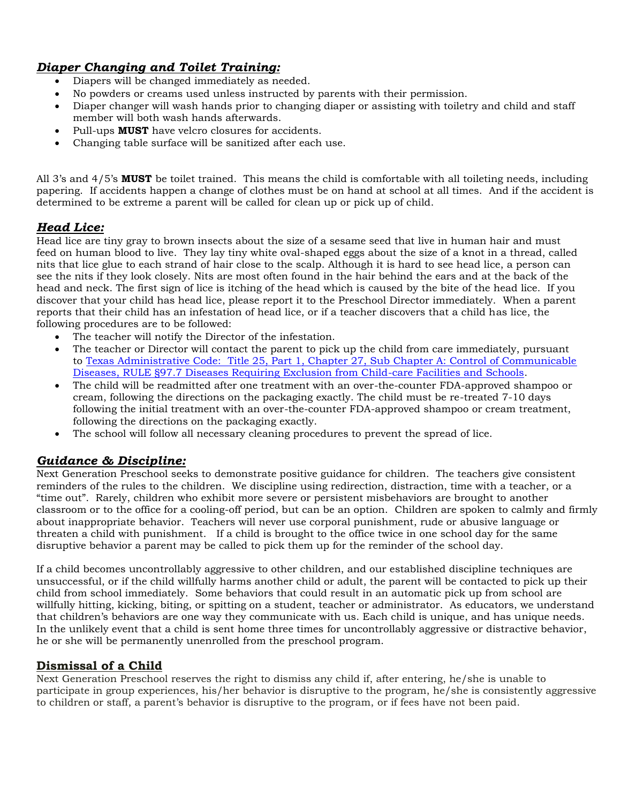## *Diaper Changing and Toilet Training:*

- Diapers will be changed immediately as needed.
- No powders or creams used unless instructed by parents with their permission.
- Diaper changer will wash hands prior to changing diaper or assisting with toiletry and child and staff member will both wash hands afterwards.
- Pull-ups **MUST** have velcro closures for accidents.
- Changing table surface will be sanitized after each use.

All 3's and 4/5's **MUST** be toilet trained. This means the child is comfortable with all toileting needs, including papering. If accidents happen a change of clothes must be on hand at school at all times. And if the accident is determined to be extreme a parent will be called for clean up or pick up of child.

### *Head Lice:*

Head lice are tiny gray to brown insects about the size of a sesame seed that live in human hair and must feed on human blood to live. They lay tiny white oval-shaped eggs about the size of a knot in a thread, called nits that lice glue to each strand of hair close to the scalp. Although it is hard to see head lice, a person can see the nits if they look closely. Nits are most often found in the hair behind the ears and at the back of the head and neck. The first sign of lice is itching of the head which is caused by the bite of the head lice. If you discover that your child has head lice, please report it to the Preschool Director immediately. When a parent reports that their child has an infestation of head lice, or if a teacher discovers that a child has lice, the following procedures are to be followed:

- The teacher will notify the Director of the infestation.
- The teacher or Director will contact the parent to pick up the child from care immediately, pursuant to Texas Administrative Code: Title 25, Part 1, Chapter 27, Sub Chapter A: Control of Communicable Diseases, RULE §97.7 Diseases Requiring Exclusion from Child-care Facilities and Schools.
- The child will be readmitted after one treatment with an over-the-counter FDA-approved shampoo or cream, following the directions on the packaging exactly. The child must be re-treated 7-10 days following the initial treatment with an over-the-counter FDA-approved shampoo or cream treatment, following the directions on the packaging exactly.
- The school will follow all necessary cleaning procedures to prevent the spread of lice.

### *Guidance & Discipline:*

Next Generation Preschool seeks to demonstrate positive guidance for children. The teachers give consistent reminders of the rules to the children. We discipline using redirection, distraction, time with a teacher, or a "time out". Rarely, children who exhibit more severe or persistent misbehaviors are brought to another classroom or to the office for a cooling-off period, but can be an option. Children are spoken to calmly and firmly about inappropriate behavior. Teachers will never use corporal punishment, rude or abusive language or threaten a child with punishment. If a child is brought to the office twice in one school day for the same disruptive behavior a parent may be called to pick them up for the reminder of the school day.

If a child becomes uncontrollably aggressive to other children, and our established discipline techniques are unsuccessful, or if the child willfully harms another child or adult, the parent will be contacted to pick up their child from school immediately. Some behaviors that could result in an automatic pick up from school are willfully hitting, kicking, biting, or spitting on a student, teacher or administrator. As educators, we understand that children's behaviors are one way they communicate with us. Each child is unique, and has unique needs. In the unlikely event that a child is sent home three times for uncontrollably aggressive or distractive behavior, he or she will be permanently unenrolled from the preschool program.

#### **Dismissal of a Child**

Next Generation Preschool reserves the right to dismiss any child if, after entering, he/she is unable to participate in group experiences, his/her behavior is disruptive to the program, he/she is consistently aggressive to children or staff, a parent's behavior is disruptive to the program, or if fees have not been paid.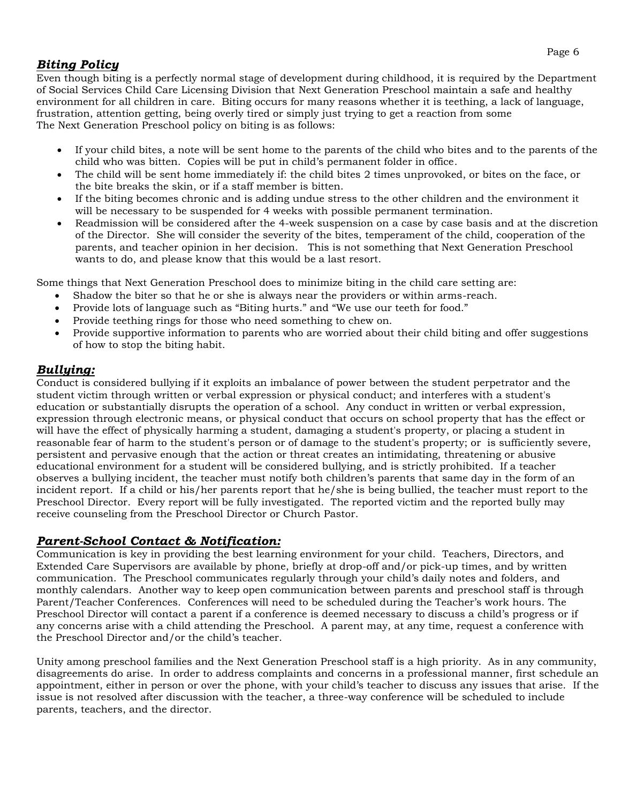### *Biting Policy*

Even though biting is a perfectly normal stage of development during childhood, it is required by the Department of Social Services Child Care Licensing Division that Next Generation Preschool maintain a safe and healthy environment for all children in care. Biting occurs for many reasons whether it is teething, a lack of language, frustration, attention getting, being overly tired or simply just trying to get a reaction from some The Next Generation Preschool policy on biting is as follows:

- If your child bites, a note will be sent home to the parents of the child who bites and to the parents of the child who was bitten. Copies will be put in child's permanent folder in office.
- The child will be sent home immediately if: the child bites 2 times unprovoked, or bites on the face, or the bite breaks the skin, or if a staff member is bitten.
- If the biting becomes chronic and is adding undue stress to the other children and the environment it will be necessary to be suspended for 4 weeks with possible permanent termination.
- Readmission will be considered after the 4-week suspension on a case by case basis and at the discretion of the Director. She will consider the severity of the bites, temperament of the child, cooperation of the parents, and teacher opinion in her decision. This is not something that Next Generation Preschool wants to do, and please know that this would be a last resort.

Some things that Next Generation Preschool does to minimize biting in the child care setting are:

- Shadow the biter so that he or she is always near the providers or within arms-reach.
- Provide lots of language such as "Biting hurts." and "We use our teeth for food."
- Provide teething rings for those who need something to chew on.
- Provide supportive information to parents who are worried about their child biting and offer suggestions of how to stop the biting habit.

#### *Bullying:*

Conduct is considered bullying if it exploits an imbalance of power between the student perpetrator and the student victim through written or verbal expression or physical conduct; and interferes with a student's education or substantially disrupts the operation of a school. Any conduct in written or verbal expression, expression through electronic means, or physical conduct that occurs on school property that has the effect or will have the effect of physically harming a student, damaging a student's property, or placing a student in reasonable fear of harm to the student's person or of damage to the student's property; or is sufficiently severe, persistent and pervasive enough that the action or threat creates an intimidating, threatening or abusive educational environment for a student will be considered bullying, and is strictly prohibited. If a teacher observes a bullying incident, the teacher must notify both children's parents that same day in the form of an incident report. If a child or his/her parents report that he/she is being bullied, the teacher must report to the Preschool Director. Every report will be fully investigated. The reported victim and the reported bully may receive counseling from the Preschool Director or Church Pastor.

### *Parent-School Contact & Notification:*

Communication is key in providing the best learning environment for your child. Teachers, Directors, and Extended Care Supervisors are available by phone, briefly at drop-off and/or pick-up times, and by written communication. The Preschool communicates regularly through your child's daily notes and folders, and monthly calendars. Another way to keep open communication between parents and preschool staff is through Parent/Teacher Conferences. Conferences will need to be scheduled during the Teacher's work hours. The Preschool Director will contact a parent if a conference is deemed necessary to discuss a child's progress or if any concerns arise with a child attending the Preschool. A parent may, at any time, request a conference with the Preschool Director and/or the child's teacher.

Unity among preschool families and the Next Generation Preschool staff is a high priority. As in any community, disagreements do arise. In order to address complaints and concerns in a professional manner, first schedule an appointment, either in person or over the phone, with your child's teacher to discuss any issues that arise. If the issue is not resolved after discussion with the teacher, a three-way conference will be scheduled to include parents, teachers, and the director.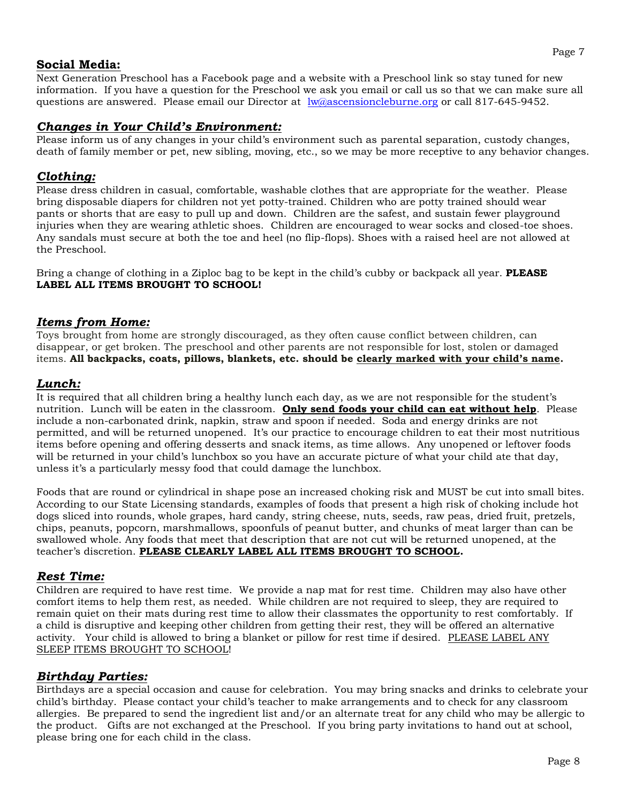#### **Social Media:**

Next Generation Preschool has a Facebook page and a website with a Preschool link so stay tuned for new information. If you have a question for the Preschool we ask you email or call us so that we can make sure all questions are answered. Please email our Director at lw@ascensioncleburne.org or call 817-645-9452.

#### *Changes in Your Child's Environment:*

Please inform us of any changes in your child's environment such as parental separation, custody changes, death of family member or pet, new sibling, moving, etc., so we may be more receptive to any behavior changes.

### *Clothing:*

Please dress children in casual, comfortable, washable clothes that are appropriate for the weather. Please bring disposable diapers for children not yet potty-trained. Children who are potty trained should wear pants or shorts that are easy to pull up and down. Children are the safest, and sustain fewer playground injuries when they are wearing athletic shoes. Children are encouraged to wear socks and closed-toe shoes. Any sandals must secure at both the toe and heel (no flip-flops). Shoes with a raised heel are not allowed at the Preschool.

Bring a change of clothing in a Ziploc bag to be kept in the child's cubby or backpack all year. **PLEASE LABEL ALL ITEMS BROUGHT TO SCHOOL!**

#### *Items from Home:*

Toys brought from home are strongly discouraged, as they often cause conflict between children, can disappear, or get broken. The preschool and other parents are not responsible for lost, stolen or damaged items. **All backpacks, coats, pillows, blankets, etc. should be clearly marked with your child's name.**

#### *Lunch:*

It is required that all children bring a healthy lunch each day, as we are not responsible for the student's nutrition. Lunch will be eaten in the classroom. **Only send foods your child can eat without help**. Please include a non-carbonated drink, napkin, straw and spoon if needed. Soda and energy drinks are not permitted, and will be returned unopened. It's our practice to encourage children to eat their most nutritious items before opening and offering desserts and snack items, as time allows. Any unopened or leftover foods will be returned in your child's lunchbox so you have an accurate picture of what your child ate that day, unless it's a particularly messy food that could damage the lunchbox.

Foods that are round or cylindrical in shape pose an increased choking risk and MUST be cut into small bites. According to our State Licensing standards, examples of foods that present a high risk of choking include hot dogs sliced into rounds, whole grapes, hard candy, string cheese, nuts, seeds, raw peas, dried fruit, pretzels, chips, peanuts, popcorn, marshmallows, spoonfuls of peanut butter, and chunks of meat larger than can be swallowed whole. Any foods that meet that description that are not cut will be returned unopened, at the teacher's discretion. **PLEASE CLEARLY LABEL ALL ITEMS BROUGHT TO SCHOOL.**

### *Rest Time:*

Children are required to have rest time. We provide a nap mat for rest time. Children may also have other comfort items to help them rest, as needed. While children are not required to sleep, they are required to remain quiet on their mats during rest time to allow their classmates the opportunity to rest comfortably. If a child is disruptive and keeping other children from getting their rest, they will be offered an alternative activity. Your child is allowed to bring a blanket or pillow for rest time if desired. PLEASE LABEL ANY SLEEP ITEMS BROUGHT TO SCHOOL!

### *Birthday Parties:*

Birthdays are a special occasion and cause for celebration. You may bring snacks and drinks to celebrate your child's birthday. Please contact your child's teacher to make arrangements and to check for any classroom allergies. Be prepared to send the ingredient list and/or an alternate treat for any child who may be allergic to the product. Gifts are not exchanged at the Preschool. If you bring party invitations to hand out at school, please bring one for each child in the class.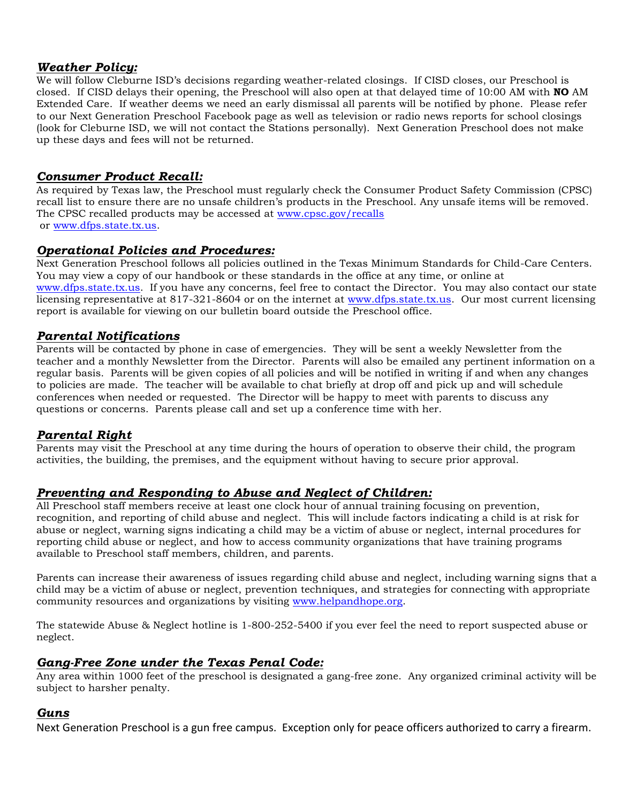#### *Weather Policy:*

We will follow Cleburne ISD's decisions regarding weather-related closings. If CISD closes, our Preschool is closed. If CISD delays their opening, the Preschool will also open at that delayed time of 10:00 AM with **NO** AM Extended Care. If weather deems we need an early dismissal all parents will be notified by phone. Please refer to our Next Generation Preschool Facebook page as well as television or radio news reports for school closings (look for Cleburne ISD, we will not contact the Stations personally). Next Generation Preschool does not make up these days and fees will not be returned.

### *Consumer Product Recall:*

As required by Texas law, the Preschool must regularly check the Consumer Product Safety Commission (CPSC) recall list to ensure there are no unsafe children's products in the Preschool. Any unsafe items will be removed. The CPSC recalled products may be accessed at www.cpsc.gov/recalls or www.dfps.state.tx.us.

#### *Operational Policies and Procedures:*

Next Generation Preschool follows all policies outlined in the Texas Minimum Standards for Child-Care Centers. You may view a copy of our handbook or these standards in the office at any time, or online at www.dfps.state.tx.us. If you have any concerns, feel free to contact the Director. You may also contact our state licensing representative at 817-321-8604 or on the internet at www.dfps.state.tx.us. Our most current licensing report is available for viewing on our bulletin board outside the Preschool office.

### *Parental Notifications*

Parents will be contacted by phone in case of emergencies. They will be sent a weekly Newsletter from the teacher and a monthly Newsletter from the Director. Parents will also be emailed any pertinent information on a regular basis. Parents will be given copies of all policies and will be notified in writing if and when any changes to policies are made. The teacher will be available to chat briefly at drop off and pick up and will schedule conferences when needed or requested. The Director will be happy to meet with parents to discuss any questions or concerns. Parents please call and set up a conference time with her.

### *Parental Right*

Parents may visit the Preschool at any time during the hours of operation to observe their child, the program activities, the building, the premises, and the equipment without having to secure prior approval.

### *Preventing and Responding to Abuse and Neglect of Children:*

All Preschool staff members receive at least one clock hour of annual training focusing on prevention, recognition, and reporting of child abuse and neglect. This will include factors indicating a child is at risk for abuse or neglect, warning signs indicating a child may be a victim of abuse or neglect, internal procedures for reporting child abuse or neglect, and how to access community organizations that have training programs available to Preschool staff members, children, and parents.

Parents can increase their awareness of issues regarding child abuse and neglect, including warning signs that a child may be a victim of abuse or neglect, prevention techniques, and strategies for connecting with appropriate community resources and organizations by visiting www.helpandhope.org.

The statewide Abuse & Neglect hotline is 1-800-252-5400 if you ever feel the need to report suspected abuse or neglect.

#### *Gang-Free Zone under the Texas Penal Code:*

Any area within 1000 feet of the preschool is designated a gang-free zone. Any organized criminal activity will be subject to harsher penalty.

#### *Guns*

Next Generation Preschool is a gun free campus. Exception only for peace officers authorized to carry a firearm.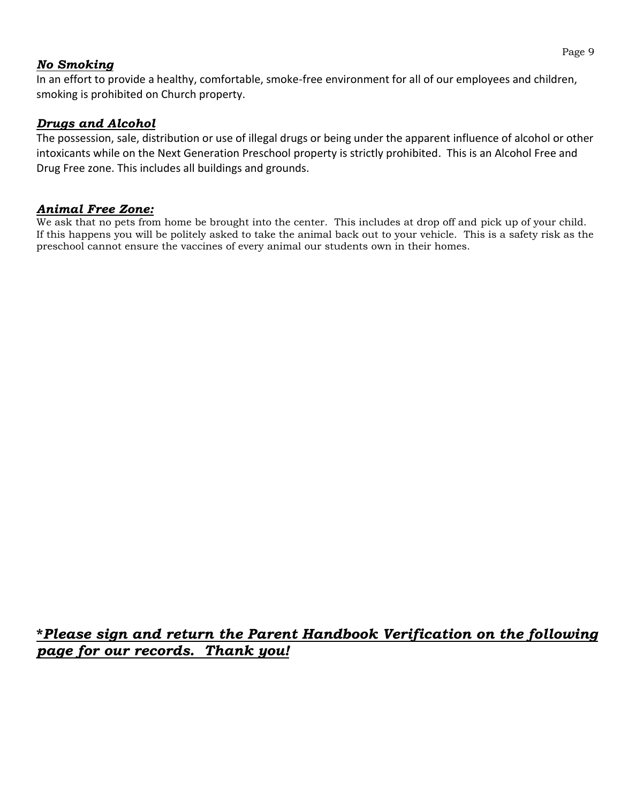### *No Smoking*

In an effort to provide a healthy, comfortable, smoke-free environment for all of our employees and children, smoking is prohibited on Church property.

### *Drugs and Alcohol*

The possession, sale, distribution or use of illegal drugs or being under the apparent influence of alcohol or other intoxicants while on the Next Generation Preschool property is strictly prohibited. This is an Alcohol Free and Drug Free zone. This includes all buildings and grounds.

### *Animal Free Zone:*

We ask that no pets from home be brought into the center. This includes at drop off and pick up of your child. If this happens you will be politely asked to take the animal back out to your vehicle. This is a safety risk as the preschool cannot ensure the vaccines of every animal our students own in their homes.

# **\****Please sign and return the Parent Handbook Verification on the following page for our records. Thank you!*